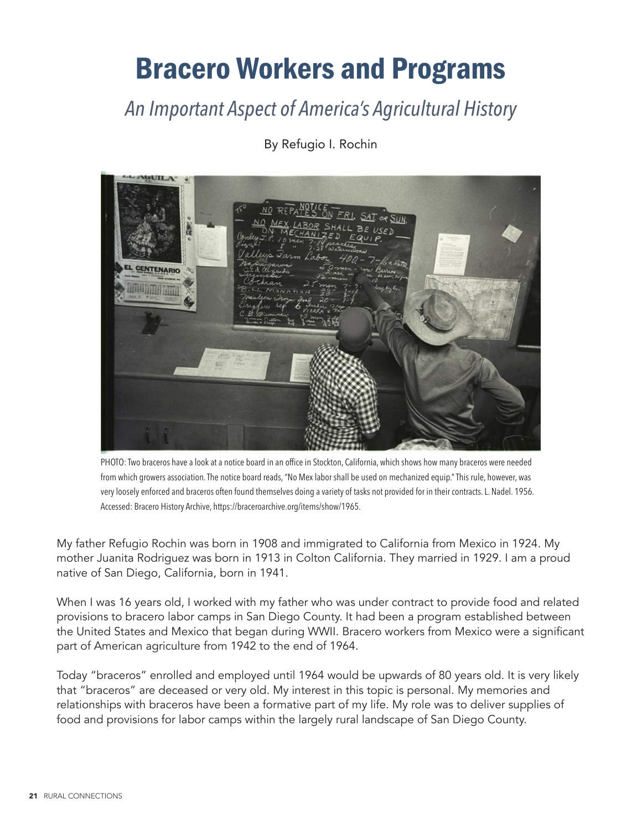# Bracero Workers and Programs

*An Important Aspect of America's Agricultural History*



By Refugio I. Rochin

PHOTO: Two braceros have a look at a notice board in an office in Stockton, California, which shows how many braceros were needed from which growers association. The notice board reads, "No Mex labor shall be used on mechanized equip." This rule, however, was very loosely enforced and braceros often found themselves doing a variety of tasks not provided for in their contracts. L. Nadel. 1956. Accessed: Bracero History Archive, https://braceroarchive.org/items/show/1965.

My father Refugio Rochin was born in 1908 and immigrated to California from Mexico in 1924. My mother Juanita Rodriguez was born in 1913 in Colton California. They married in 1929. I am a proud native of San Diego, California, born in 1941.

When I was 16 years old, I worked with my father who was under contract to provide food and related provisions to bracero labor camps in San Diego County. It had been a program established between the United States and Mexico that began during WWII. Bracero workers from Mexico were a significant part of American agriculture from 1942 to the end of 1964.

Today "braceros" enrolled and employed until 1964 would be upwards of 80 years old. It is very likely that "braceros" are deceased or very old. My interest in this topic is personal. My memories and relationships with braceros have been a formative part of my life. My role was to deliver supplies of food and provisions for labor camps within the largely rural landscape of San Diego County.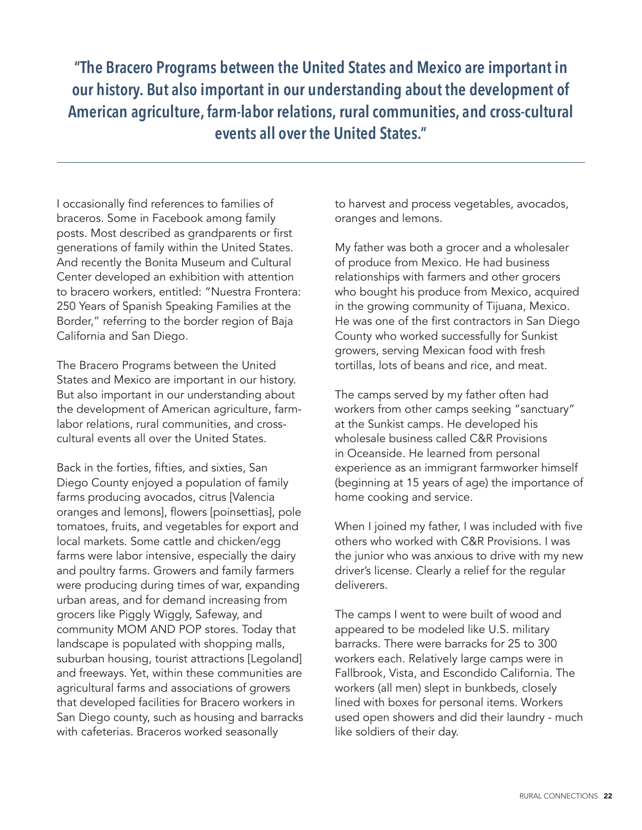**"The Bracero Programs between the United States and Mexico are important in our history. But also important in our understanding about the development of American agriculture, farm-labor relations, rural communities, and cross-cultural events all over the United States."**

I occasionally find references to families of braceros. Some in Facebook among family posts. Most described as grandparents or first generations of family within the United States. And recently the Bonita Museum and Cultural Center developed an exhibition with attention to bracero workers, entitled: "Nuestra Frontera: 250 Years of Spanish Speaking Families at the Border," referring to the border region of Baja California and San Diego.

The Bracero Programs between the United States and Mexico are important in our history. But also important in our understanding about the development of American agriculture, farmlabor relations, rural communities, and crosscultural events all over the United States.

Back in the forties, fifties, and sixties, San Diego County enjoyed a population of family farms producing avocados, citrus [Valencia oranges and lemons], flowers [poinsettias], pole tomatoes, fruits, and vegetables for export and local markets. Some cattle and chicken/egg farms were labor intensive, especially the dairy and poultry farms. Growers and family farmers were producing during times of war, expanding urban areas, and for demand increasing from grocers like Piggly Wiggly, Safeway, and community MOM AND POP stores. Today that landscape is populated with shopping malls, suburban housing, tourist attractions [Legoland] and freeways. Yet, within these communities are agricultural farms and associations of growers that developed facilities for Bracero workers in San Diego county, such as housing and barracks with cafeterias. Braceros worked seasonally

to harvest and process vegetables, avocados, oranges and lemons.

My father was both a grocer and a wholesaler of produce from Mexico. He had business relationships with farmers and other grocers who bought his produce from Mexico, acquired in the growing community of Tijuana, Mexico. He was one of the first contractors in San Diego County who worked successfully for Sunkist growers, serving Mexican food with fresh tortillas, lots of beans and rice, and meat.

The camps served by my father often had workers from other camps seeking "sanctuary" at the Sunkist camps. He developed his wholesale business called C&R Provisions in Oceanside. He learned from personal experience as an immigrant farmworker himself (beginning at 15 years of age) the importance of home cooking and service.

When I joined my father, I was included with five others who worked with C&R Provisions. I was the junior who was anxious to drive with my new driver's license. Clearly a relief for the regular deliverers.

The camps I went to were built of wood and appeared to be modeled like U.S. military barracks. There were barracks for 25 to 300 workers each. Relatively large camps were in Fallbrook, Vista, and Escondido California. The workers (all men) slept in bunkbeds, closely lined with boxes for personal items. Workers used open showers and did their laundry - much like soldiers of their day.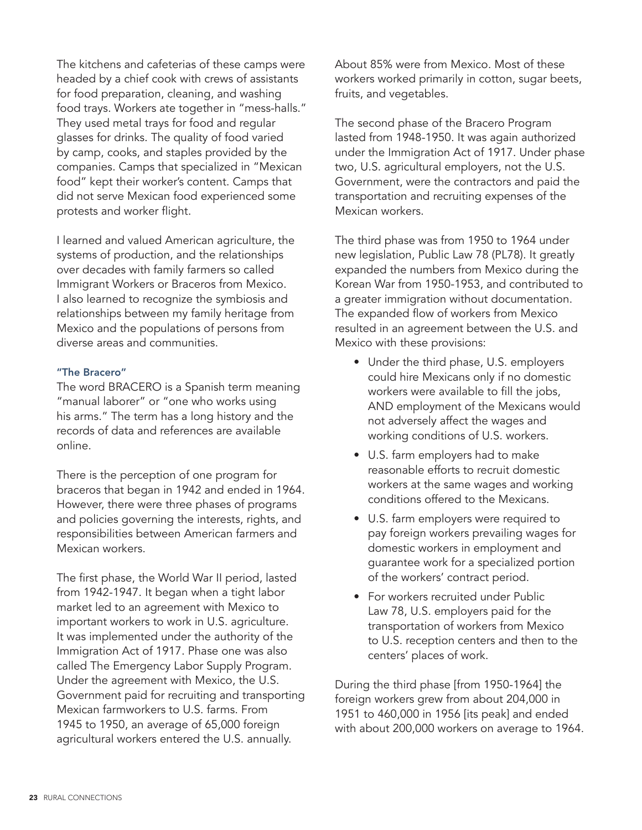The kitchens and cafeterias of these camps were headed by a chief cook with crews of assistants for food preparation, cleaning, and washing food trays. Workers ate together in "mess-halls." They used metal trays for food and regular glasses for drinks. The quality of food varied by camp, cooks, and staples provided by the companies. Camps that specialized in "Mexican food" kept their worker's content. Camps that did not serve Mexican food experienced some protests and worker flight.

I learned and valued American agriculture, the systems of production, and the relationships over decades with family farmers so called Immigrant Workers or Braceros from Mexico. I also learned to recognize the symbiosis and relationships between my family heritage from Mexico and the populations of persons from diverse areas and communities.

### "The Bracero"

The word BRACERO is a Spanish term meaning "manual laborer" or "one who works using his arms." The term has a long history and the records of data and references are available online.

There is the perception of one program for braceros that began in 1942 and ended in 1964. However, there were three phases of programs and policies governing the interests, rights, and responsibilities between American farmers and Mexican workers.

The first phase, the World War II period, lasted from 1942-1947. It began when a tight labor market led to an agreement with Mexico to important workers to work in U.S. agriculture. It was implemented under the authority of the Immigration Act of 1917. Phase one was also called The Emergency Labor Supply Program. Under the agreement with Mexico, the U.S. Government paid for recruiting and transporting Mexican farmworkers to U.S. farms. From 1945 to 1950, an average of 65,000 foreign agricultural workers entered the U.S. annually.

About 85% were from Mexico. Most of these workers worked primarily in cotton, sugar beets, fruits, and vegetables.

The second phase of the Bracero Program lasted from 1948-1950. It was again authorized under the Immigration Act of 1917. Under phase two, U.S. agricultural employers, not the U.S. Government, were the contractors and paid the transportation and recruiting expenses of the Mexican workers.

The third phase was from 1950 to 1964 under new legislation, Public Law 78 (PL78). It greatly expanded the numbers from Mexico during the Korean War from 1950-1953, and contributed to a greater immigration without documentation. The expanded flow of workers from Mexico resulted in an agreement between the U.S. and Mexico with these provisions:

- Under the third phase, U.S. employers could hire Mexicans only if no domestic workers were available to fill the jobs, AND employment of the Mexicans would not adversely affect the wages and working conditions of U.S. workers.
- U.S. farm employers had to make reasonable efforts to recruit domestic workers at the same wages and working conditions offered to the Mexicans.
- U.S. farm employers were required to pay foreign workers prevailing wages for domestic workers in employment and guarantee work for a specialized portion of the workers' contract period.
- For workers recruited under Public Law 78, U.S. employers paid for the transportation of workers from Mexico to U.S. reception centers and then to the centers' places of work.

During the third phase [from 1950-1964] the foreign workers grew from about 204,000 in 1951 to 460,000 in 1956 [its peak] and ended with about 200,000 workers on average to 1964.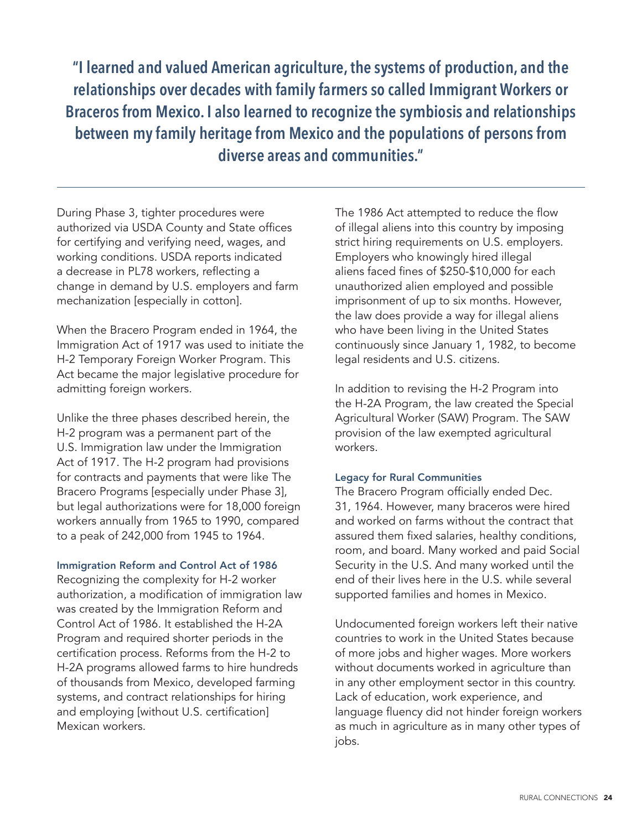**"I learned and valued American agriculture, the systems of production, and the relationships over decades with family farmers so called Immigrant Workers or Braceros from Mexico. I also learned to recognize the symbiosis and relationships between my family heritage from Mexico and the populations of persons from diverse areas and communities."**

During Phase 3, tighter procedures were authorized via USDA County and State offices for certifying and verifying need, wages, and working conditions. USDA reports indicated a decrease in PL78 workers, reflecting a change in demand by U.S. employers and farm mechanization [especially in cotton].

When the Bracero Program ended in 1964, the Immigration Act of 1917 was used to initiate the H-2 Temporary Foreign Worker Program. This Act became the major legislative procedure for admitting foreign workers.

Unlike the three phases described herein, the H-2 program was a permanent part of the U.S. Immigration law under the Immigration Act of 1917. The H-2 program had provisions for contracts and payments that were like The Bracero Programs [especially under Phase 3], but legal authorizations were for 18,000 foreign workers annually from 1965 to 1990, compared to a peak of 242,000 from 1945 to 1964.

### Immigration Reform and Control Act of 1986

Recognizing the complexity for H-2 worker authorization, a modification of immigration law was created by the Immigration Reform and Control Act of 1986. It established the H-2A Program and required shorter periods in the certification process. Reforms from the H-2 to H-2A programs allowed farms to hire hundreds of thousands from Mexico, developed farming systems, and contract relationships for hiring and employing [without U.S. certification] Mexican workers.

The 1986 Act attempted to reduce the flow of illegal aliens into this country by imposing strict hiring requirements on U.S. employers. Employers who knowingly hired illegal aliens faced fines of \$250-\$10,000 for each unauthorized alien employed and possible imprisonment of up to six months. However, the law does provide a way for illegal aliens who have been living in the United States continuously since January 1, 1982, to become legal residents and U.S. citizens.

In addition to revising the H-2 Program into the H-2A Program, the law created the Special Agricultural Worker (SAW) Program. The SAW provision of the law exempted agricultural workers.

#### Legacy for Rural Communities

The Bracero Program officially ended Dec. 31, 1964. However, many braceros were hired and worked on farms without the contract that assured them fixed salaries, healthy conditions, room, and board. Many worked and paid Social Security in the U.S. And many worked until the end of their lives here in the U.S. while several supported families and homes in Mexico.

Undocumented foreign workers left their native countries to work in the United States because of more jobs and higher wages. More workers without documents worked in agriculture than in any other employment sector in this country. Lack of education, work experience, and language fluency did not hinder foreign workers as much in agriculture as in many other types of jobs.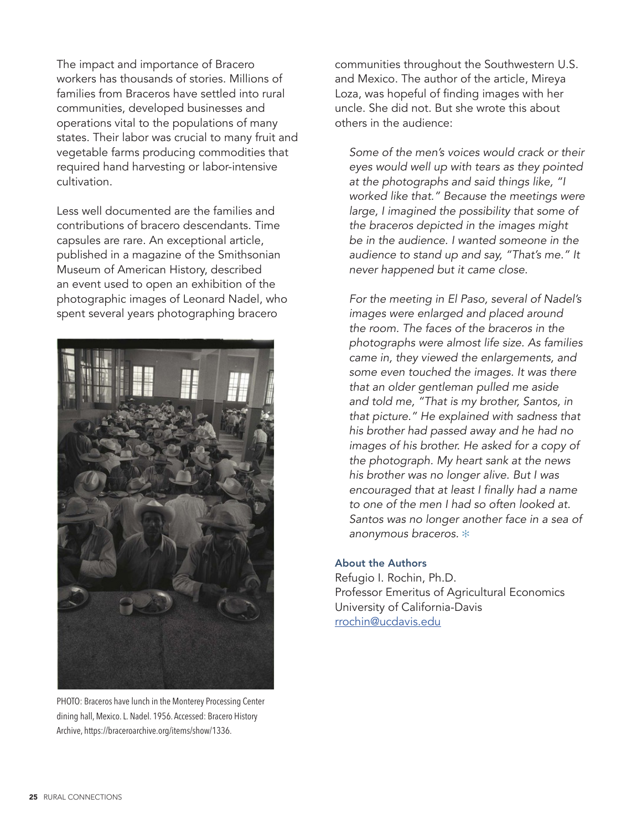The impact and importance of Bracero workers has thousands of stories. Millions of families from Braceros have settled into rural communities, developed businesses and operations vital to the populations of many states. Their labor was crucial to many fruit and vegetable farms producing commodities that required hand harvesting or labor-intensive cultivation.

Less well documented are the families and contributions of bracero descendants. Time capsules are rare. An exceptional article, published in a magazine of the Smithsonian Museum of American History, described an event used to open an exhibition of the photographic images of Leonard Nadel, who spent several years photographing bracero



PHOTO: Braceros have lunch in the Monterey Processing Center dining hall, Mexico. L. Nadel. 1956. Accessed: Bracero History Archive, https://braceroarchive.org/items/show/1336.

communities throughout the Southwestern U.S. and Mexico. The author of the article, Mireya Loza, was hopeful of finding images with her uncle. She did not. But she wrote this about others in the audience:

*Some of the men's voices would crack or their eyes would well up with tears as they pointed at the photographs and said things like, "I worked like that." Because the meetings were large, I imagined the possibility that some of the braceros depicted in the images might be in the audience. I wanted someone in the audience to stand up and say, "That's me." It never happened but it came close.*

*For the meeting in El Paso, several of Nadel's images were enlarged and placed around the room. The faces of the braceros in the photographs were almost life size. As families came in, they viewed the enlargements, and some even touched the images. It was there that an older gentleman pulled me aside and told me, "That is my brother, Santos, in that picture." He explained with sadness that his brother had passed away and he had no images of his brother. He asked for a copy of the photograph. My heart sank at the news his brother was no longer alive. But I was*  encouraged that at least I finally had a name *to one of the men I had so often looked at. Santos was no longer another face in a sea of*  anonymous braceros.  $*$ 

### About the Authors

Refugio I. Rochin, Ph.D. Professor Emeritus of Agricultural Economics University of California-Davis [rrochin@ucdavis.edu](mailto:rrochin%40ucdavis.edu?subject=)